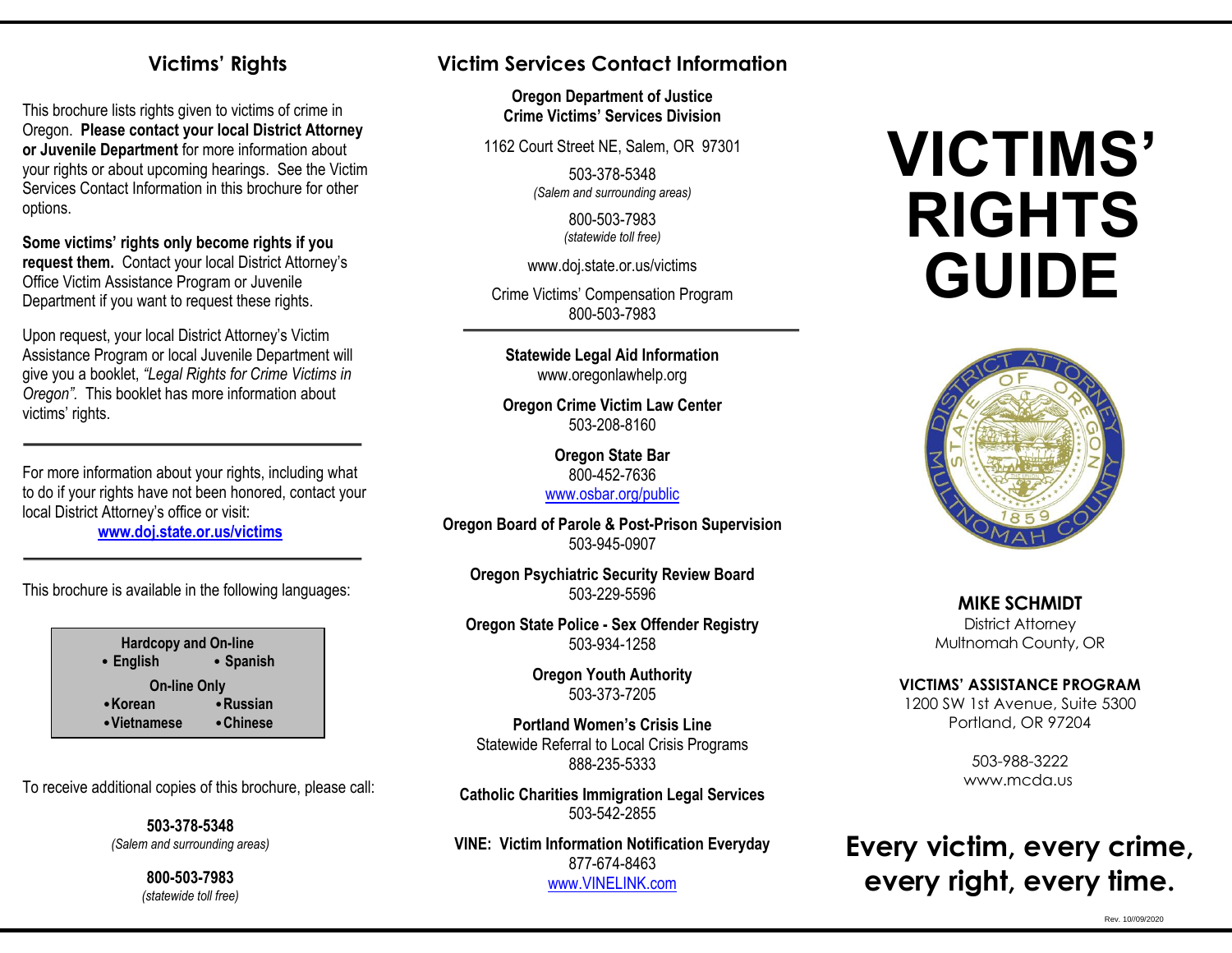### **Victims' Rights**

This brochure lists rights given to victims of crime in Oregon. **Please contact your local District Attorney or Juvenile Department** for more information about your rights or about upcoming hearings. See the Victim Services Contact Information in this brochure for other options.

**Some victims' rights only become rights if you request them.** Contact your local District Attorney's Office Victim Assistance Program or Juvenile Department if you want to request these rights.

Upon request, your local District Attorney's Victim Assistance Program or local Juvenile Department will give you a booklet, *"Legal Rights for Crime Victims in Oregon".* This booklet has more information about victims' rights.

For more information about your rights, including what to do if your rights have not been honored, contact your local District Attorney's office or visit:

**[www.doj.state.or.us/victims](http://www.doj.state.or.us/victims)**

This brochure is available in the following languages:

**Hardcopy and On-line • English • Spanish On-line Only •Korean •Russian •Vietnamese •Chinese**

To receive additional copies of this brochure, please call:

**503-378-5348**  *(Salem and surrounding areas)*

> **800-503-7983** *(statewide toll free)*

# **Victim Services Contact Information**

**Oregon Department of Justice Crime Victims' Services Division**

1162 Court Street NE, Salem, OR 97301

503-378-5348 *(Salem and surrounding areas)*

> 800-503-7983 *(statewide toll free)*

www.doj.state.or.us/victims

Crime Victims' Compensation Program 800-503-7983

**Statewide Legal Aid Information** www.oregonlawhelp.org

**Oregon Crime Victim Law Center** 503-208-8160

> **Oregon State Bar** 800-452-7636 [www.osbar.org/public](http://www.osbar.org/public)

**Oregon Board of Parole & Post-Prison Supervision** 503-945-0907

**Oregon Psychiatric Security Review Board** 503-229-5596

**Oregon State Police - Sex Offender Registry** 503-934-1258

> **Oregon Youth Authority** 503-373-7205

**Portland Women's Crisis Line** Statewide Referral to Local Crisis Programs 888-235-5333

**Catholic Charities Immigration Legal Services** 503-542-2855

**VINE: Victim Information Notification Everyday** 877-674-8463 [www.VINELINK.com](http://www.vinelink.com/)

# **VICTIMS' RIGHTS GUIDE**



**MIKE SCHMIDT** District Attorney Multnomah County, OR

#### **VICTIMS' ASSISTANCE PROGRAM**

1200 SW 1st Avenue, Suite 5300 Portland, OR 97204

> 503-988-3222 www.mcda.us

# **Every victim, every crime, every right, every time.**